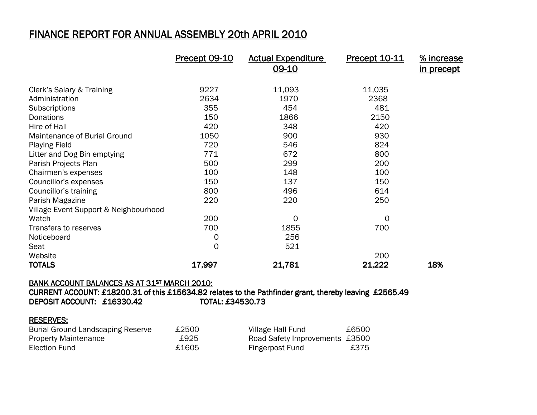## <u>FINANCE REPORT FOR ANNUAL ASSEMBLY 20th APRIL 2010</u>

|                                       | Precept 09-10 | <b>Actual Expenditure</b><br>09-10 | <b>Precept 10-11</b> | % increase<br><u>in precept</u> |
|---------------------------------------|---------------|------------------------------------|----------------------|---------------------------------|
| Clerk's Salary & Training             | 9227          | 11,093                             | 11,035               |                                 |
| Administration                        | 2634          | 1970                               | 2368                 |                                 |
| Subscriptions                         | 355           | 454                                | 481                  |                                 |
| Donations                             | 150           | 1866                               | 2150                 |                                 |
| Hire of Hall                          | 420           | 348                                | 420                  |                                 |
| Maintenance of Burial Ground          | 1050          | 900                                | 930                  |                                 |
| <b>Playing Field</b>                  | 720           | 546                                | 824                  |                                 |
| Litter and Dog Bin emptying           | 771           | 672                                | 800                  |                                 |
| Parish Projects Plan                  | 500           | 299                                | 200                  |                                 |
| Chairmen's expenses                   | 100           | 148                                | 100                  |                                 |
| Councillor's expenses                 | 150           | 137                                | 150                  |                                 |
| Councillor's training                 | 800           | 496                                | 614                  |                                 |
| Parish Magazine                       | 220           | 220                                | 250                  |                                 |
| Village Event Support & Neighbourhood |               |                                    |                      |                                 |
| Watch                                 | 200           | 0                                  | 0                    |                                 |
| Transfers to reserves                 | 700           | 1855                               | 700                  |                                 |
| Noticeboard                           | 0             | 256                                |                      |                                 |
| Seat                                  | 0             | 521                                |                      |                                 |
| Website                               |               |                                    | 200                  |                                 |
| <b>TOTALS</b>                         | 17,997        | 21,781                             | 21,222               | 18%                             |

## BANK ACCOUNT BALANCES AS AT 31ST MARCH 2010:

CURRENT ACCOUNT: £18200.31 of this £15634.82 relates to the Pathfinder grant, thereby leaving £2565.49  $\overline{P}$ DEPOSIT ACCOUNT:  $£16330.42$  TOTAL:  $£$ TOTAL: £34530.73

## RESERVES:

| <b>Burial Ground Landscaping Reserve</b> | £2500 | Village Hall Fund              | £6500 |
|------------------------------------------|-------|--------------------------------|-------|
| <b>Property Maintenance</b>              | £925  | Road Safety Improvements £3500 |       |
| Election Fund                            | £1605 | Fingerpost Fund                | £375  |